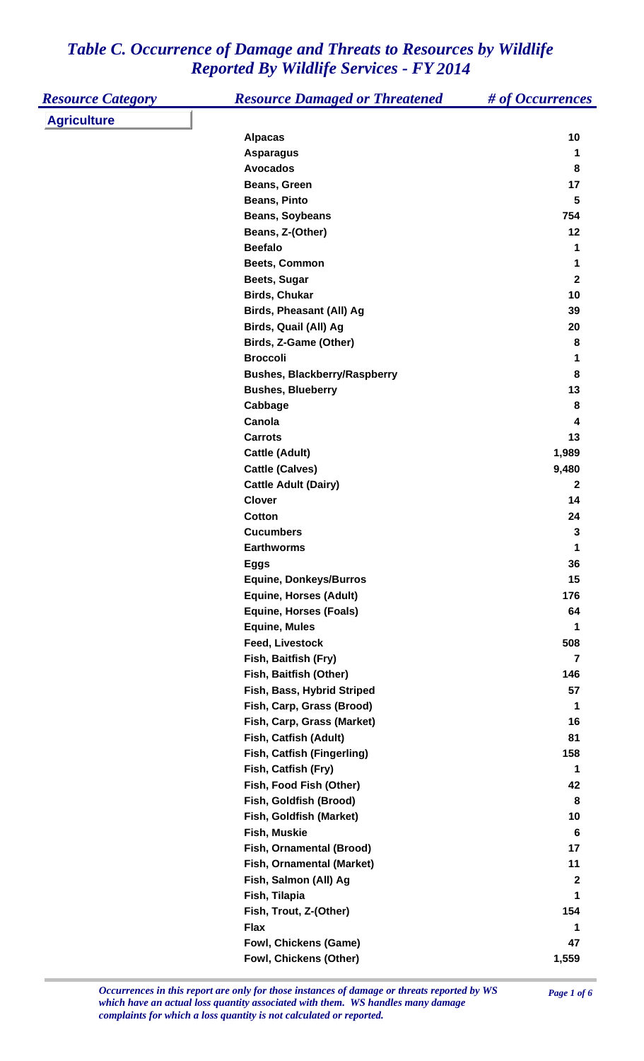| <b>Resource Category</b> | <b>Resource Damaged or Threatened</b> | # of Occurrences        |
|--------------------------|---------------------------------------|-------------------------|
| <b>Agriculture</b>       |                                       |                         |
|                          | <b>Alpacas</b>                        | 10                      |
|                          | <b>Asparagus</b>                      | 1                       |
|                          | <b>Avocados</b>                       | 8                       |
|                          | Beans, Green                          | 17                      |
|                          | <b>Beans, Pinto</b>                   | 5                       |
|                          | <b>Beans, Soybeans</b>                | 754                     |
|                          | Beans, Z-(Other)                      | 12                      |
|                          | <b>Beefalo</b>                        | 1                       |
|                          | Beets, Common                         | 1                       |
|                          | Beets, Sugar                          | $\overline{\mathbf{2}}$ |
|                          | <b>Birds, Chukar</b>                  | 10                      |
|                          | Birds, Pheasant (All) Ag              | 39                      |
|                          | Birds, Quail (All) Ag                 | 20                      |
|                          | Birds, Z-Game (Other)                 | 8                       |
|                          | <b>Broccoli</b>                       | 1                       |
|                          | <b>Bushes, Blackberry/Raspberry</b>   | 8                       |
|                          | <b>Bushes, Blueberry</b>              | 13                      |
|                          | Cabbage                               | 8                       |
|                          | Canola                                | 4                       |
|                          | <b>Carrots</b>                        | 13                      |
|                          | Cattle (Adult)                        | 1,989                   |
|                          | <b>Cattle (Calves)</b>                | 9,480                   |
|                          | <b>Cattle Adult (Dairy)</b>           | $\mathbf{2}$            |
|                          | <b>Clover</b>                         | 14                      |
|                          | <b>Cotton</b>                         | 24                      |
|                          | <b>Cucumbers</b>                      | 3                       |
|                          | <b>Earthworms</b>                     | 1                       |
|                          | <b>Eggs</b>                           | 36                      |
|                          | <b>Equine, Donkeys/Burros</b>         | 15                      |
|                          | <b>Equine, Horses (Adult)</b>         | 176                     |
|                          | <b>Equine, Horses (Foals)</b>         | 64                      |
|                          | <b>Equine, Mules</b>                  | 1                       |
|                          | <b>Feed, Livestock</b>                | 508                     |
|                          | Fish, Baitfish (Fry)                  | $\overline{7}$          |
|                          | Fish, Baitfish (Other)                | 146                     |
|                          | Fish, Bass, Hybrid Striped            | 57                      |
|                          | Fish, Carp, Grass (Brood)             | 1                       |
|                          | Fish, Carp, Grass (Market)            | 16                      |
|                          | Fish, Catfish (Adult)                 | 81                      |
|                          | Fish, Catfish (Fingerling)            | 158                     |
|                          | Fish, Catfish (Fry)                   | 1                       |
|                          | Fish, Food Fish (Other)               | 42                      |
|                          | Fish, Goldfish (Brood)                | 8                       |
|                          | Fish, Goldfish (Market)               | 10                      |
|                          | Fish, Muskie                          | 6                       |
|                          | Fish, Ornamental (Brood)              | 17                      |
|                          | Fish, Ornamental (Market)             | 11                      |
|                          | Fish, Salmon (All) Ag                 | $\boldsymbol{2}$        |
|                          | Fish, Tilapia                         | 1                       |
|                          | Fish, Trout, Z-(Other)                | 154                     |
|                          | <b>Flax</b>                           | 1                       |
|                          | Fowl, Chickens (Game)                 | 47                      |
|                          | Fowl, Chickens (Other)                | 1,559                   |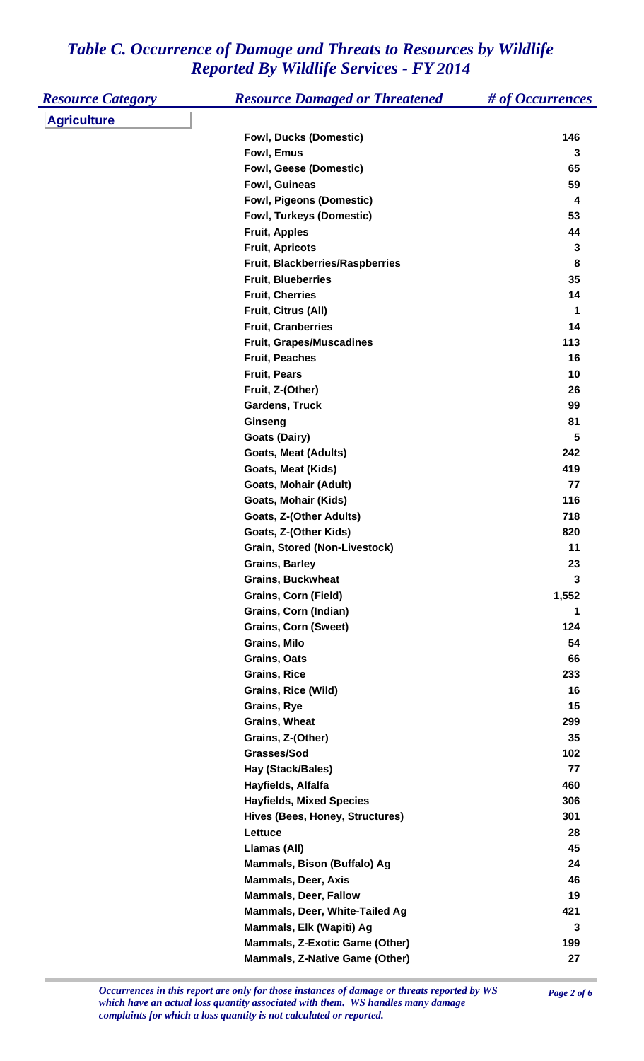| <b>Resource Category</b> | <b>Resource Damaged or Threatened</b>   | # of Occurrences |
|--------------------------|-----------------------------------------|------------------|
| <b>Agriculture</b>       |                                         |                  |
|                          | <b>Fowl, Ducks (Domestic)</b>           | 146              |
|                          | Fowl, Emus                              | 3                |
|                          | <b>Fowl, Geese (Domestic)</b>           | 65               |
|                          | Fowl, Guineas                           | 59               |
|                          | <b>Fowl, Pigeons (Domestic)</b>         | 4                |
|                          | <b>Fowl, Turkeys (Domestic)</b>         | 53               |
|                          | <b>Fruit, Apples</b>                    | 44               |
|                          | <b>Fruit, Apricots</b>                  | 3                |
|                          | <b>Fruit, Blackberries/Raspberries</b>  | 8                |
|                          | <b>Fruit, Blueberries</b>               | 35               |
|                          | <b>Fruit, Cherries</b>                  | 14               |
|                          | Fruit, Citrus (All)                     | 1                |
|                          | <b>Fruit, Cranberries</b>               | 14               |
|                          | <b>Fruit, Grapes/Muscadines</b>         | 113              |
|                          | <b>Fruit, Peaches</b>                   | 16               |
|                          | <b>Fruit, Pears</b>                     | 10               |
|                          | Fruit, Z-(Other)                        | 26               |
|                          | <b>Gardens, Truck</b>                   | 99               |
|                          | Ginseng                                 | 81               |
|                          | <b>Goats (Dairy)</b>                    | 5                |
|                          | <b>Goats, Meat (Adults)</b>             | 242              |
|                          | Goats, Meat (Kids)                      | 419              |
|                          | <b>Goats, Mohair (Adult)</b>            | 77               |
|                          | Goats, Mohair (Kids)                    | 116              |
|                          | Goats, Z-(Other Adults)                 | 718              |
|                          | Goats, Z-(Other Kids)                   | 820              |
|                          | <b>Grain, Stored (Non-Livestock)</b>    | 11               |
|                          | <b>Grains, Barley</b>                   | 23               |
|                          | <b>Grains, Buckwheat</b>                | 3                |
|                          | <b>Grains, Corn (Field)</b>             | 1,552            |
|                          | Grains, Corn (Indian)                   | 1                |
|                          | <b>Grains, Corn (Sweet)</b>             | 124              |
|                          | <b>Grains, Milo</b>                     | 54               |
|                          | <b>Grains, Oats</b>                     | 66               |
|                          | <b>Grains, Rice</b>                     | 233              |
|                          | <b>Grains, Rice (Wild)</b>              | 16               |
|                          | Grains, Rye                             | 15               |
|                          | <b>Grains, Wheat</b>                    | 299              |
|                          | Grains, Z-(Other)<br>Grasses/Sod        | 35<br>102        |
|                          |                                         | 77               |
|                          | Hay (Stack/Bales)<br>Hayfields, Alfalfa | 460              |
|                          | <b>Hayfields, Mixed Species</b>         | 306              |
|                          | Hives (Bees, Honey, Structures)         | 301              |
|                          | Lettuce                                 | 28               |
|                          | Llamas (All)                            | 45               |
|                          | Mammals, Bison (Buffalo) Ag             | 24               |
|                          | <b>Mammals, Deer, Axis</b>              | 46               |
|                          | <b>Mammals, Deer, Fallow</b>            | 19               |
|                          | Mammals, Deer, White-Tailed Ag          | 421              |
|                          | Mammals, Elk (Wapiti) Ag                | 3                |
|                          | <b>Mammals, Z-Exotic Game (Other)</b>   | 199              |
|                          | <b>Mammals, Z-Native Game (Other)</b>   | 27               |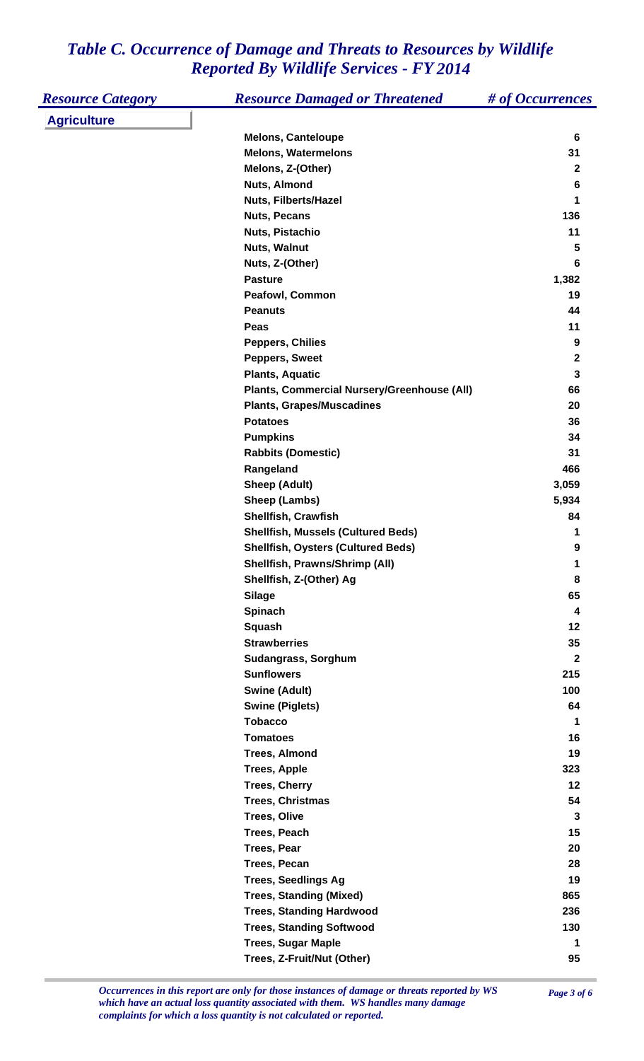| <b>Resource Category</b> | <b>Resource Damaged or Threatened</b>       | # of Occurrences        |
|--------------------------|---------------------------------------------|-------------------------|
| <b>Agriculture</b>       |                                             |                         |
|                          | <b>Melons, Canteloupe</b>                   | 6                       |
|                          | <b>Melons, Watermelons</b>                  | 31                      |
|                          | Melons, Z-(Other)                           | $\mathbf 2$             |
|                          | Nuts, Almond                                | 6                       |
|                          | <b>Nuts, Filberts/Hazel</b>                 | 1                       |
|                          | <b>Nuts, Pecans</b>                         | 136                     |
|                          | Nuts, Pistachio                             | 11                      |
|                          | Nuts, Walnut                                | $\overline{\mathbf{5}}$ |
|                          | Nuts, Z-(Other)                             | $6\phantom{1}$          |
|                          | <b>Pasture</b>                              | 1,382                   |
|                          | <b>Peafowl, Common</b>                      | 19                      |
|                          | <b>Peanuts</b>                              | 44                      |
|                          | Peas                                        | 11                      |
|                          | <b>Peppers, Chilies</b>                     | $\boldsymbol{9}$        |
|                          | Peppers, Sweet                              | $\mathbf 2$             |
|                          | <b>Plants, Aquatic</b>                      | $\mathbf 3$             |
|                          | Plants, Commercial Nursery/Greenhouse (All) | 66                      |
|                          | <b>Plants, Grapes/Muscadines</b>            | 20                      |
|                          | <b>Potatoes</b>                             | 36                      |
|                          | <b>Pumpkins</b>                             | 34                      |
|                          | <b>Rabbits (Domestic)</b>                   | 31                      |
|                          | Rangeland                                   | 466                     |
|                          | Sheep (Adult)                               | 3,059                   |
|                          | Sheep (Lambs)                               | 5,934                   |
|                          | Shellfish, Crawfish                         | 84                      |
|                          | <b>Shellfish, Mussels (Cultured Beds)</b>   | 1                       |
|                          | <b>Shellfish, Oysters (Cultured Beds)</b>   | $\boldsymbol{9}$        |
|                          | Shellfish, Prawns/Shrimp (All)              | 1                       |
|                          | Shellfish, Z-(Other) Ag                     | 8                       |
|                          | <b>Silage</b>                               | 65                      |
|                          | Spinach                                     | 4                       |
|                          | <b>Squash</b>                               | 12                      |
|                          | <b>Strawberries</b>                         | 35                      |
|                          | Sudangrass, Sorghum                         | $\overline{\mathbf{2}}$ |
|                          | <b>Sunflowers</b>                           | 215                     |
|                          | <b>Swine (Adult)</b>                        | 100                     |
|                          | <b>Swine (Piglets)</b>                      | 64                      |
|                          | <b>Tobacco</b>                              | 1                       |
|                          | <b>Tomatoes</b>                             | 16                      |
|                          | <b>Trees, Almond</b>                        | 19                      |
|                          | <b>Trees, Apple</b>                         | 323                     |
|                          | <b>Trees, Cherry</b>                        | 12                      |
|                          | <b>Trees, Christmas</b>                     | 54                      |
|                          | <b>Trees, Olive</b>                         | 3                       |
|                          | Trees, Peach                                | 15                      |
|                          | <b>Trees, Pear</b>                          | 20                      |
|                          | <b>Trees, Pecan</b>                         | 28                      |
|                          | <b>Trees, Seedlings Ag</b>                  | 19                      |
|                          | <b>Trees, Standing (Mixed)</b>              | 865                     |
|                          | <b>Trees, Standing Hardwood</b>             | 236                     |
|                          | <b>Trees, Standing Softwood</b>             | 130                     |
|                          | <b>Trees, Sugar Maple</b>                   | 1                       |
|                          | Trees, Z-Fruit/Nut (Other)                  | 95                      |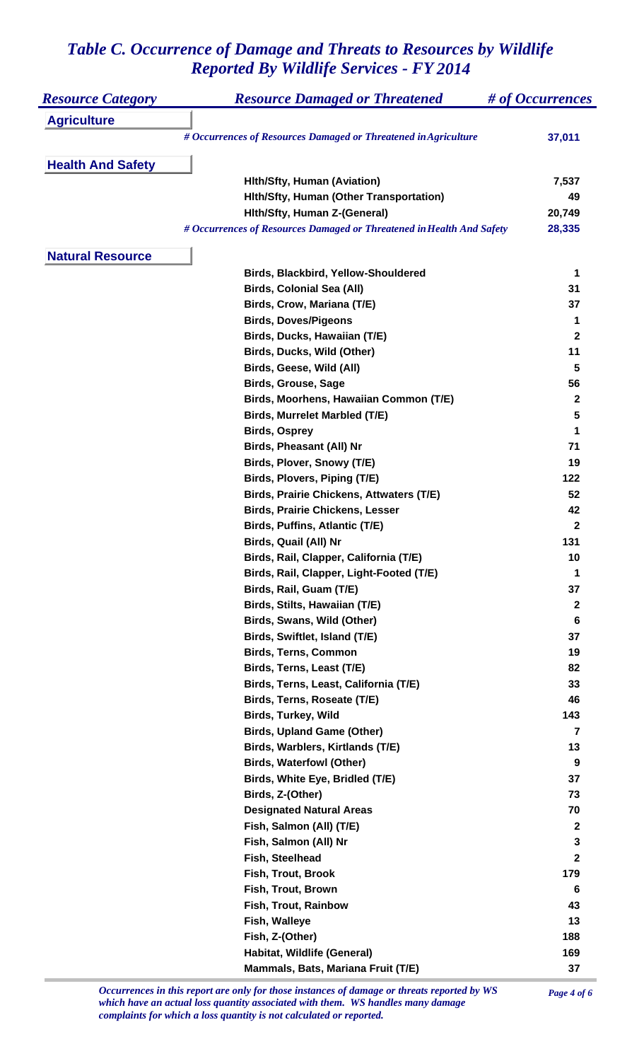| <b>Resource Category</b> | <b>Resource Damaged or Threatened</b>                                 | # of Occurrences  |
|--------------------------|-----------------------------------------------------------------------|-------------------|
| <b>Agriculture</b>       |                                                                       |                   |
|                          | # Occurrences of Resources Damaged or Threatened in Agriculture       | 37,011            |
|                          |                                                                       |                   |
| <b>Health And Safety</b> |                                                                       |                   |
|                          | <b>Hith/Sfty, Human (Aviation)</b>                                    | 7,537             |
|                          | Hith/Sfty, Human (Other Transportation)                               | 49                |
|                          | Hith/Sfty, Human Z-(General)                                          | 20,749            |
|                          | # Occurrences of Resources Damaged or Threatened in Health And Safety | 28,335            |
|                          |                                                                       |                   |
| <b>Natural Resource</b>  |                                                                       |                   |
|                          | Birds, Blackbird, Yellow-Shouldered                                   | 1                 |
|                          | <b>Birds, Colonial Sea (All)</b>                                      | 31                |
|                          | Birds, Crow, Mariana (T/E)                                            | 37                |
|                          | <b>Birds, Doves/Pigeons</b>                                           | 1<br>$\mathbf{2}$ |
|                          | Birds, Ducks, Hawaiian (T/E)                                          |                   |
|                          | Birds, Ducks, Wild (Other)                                            | 11                |
|                          | Birds, Geese, Wild (All)                                              | 5                 |
|                          | <b>Birds, Grouse, Sage</b>                                            | 56                |
|                          | Birds, Moorhens, Hawaiian Common (T/E)                                | $\mathbf{2}$      |
|                          | Birds, Murrelet Marbled (T/E)                                         | 5                 |
|                          | <b>Birds, Osprey</b>                                                  | 1                 |
|                          | Birds, Pheasant (All) Nr                                              | 71                |
|                          | Birds, Plover, Snowy (T/E)                                            | 19                |
|                          | Birds, Plovers, Piping (T/E)                                          | 122               |
|                          | <b>Birds, Prairie Chickens, Attwaters (T/E)</b>                       | 52                |
|                          | <b>Birds, Prairie Chickens, Lesser</b>                                | 42                |
|                          | Birds, Puffins, Atlantic (T/E)                                        | $\overline{2}$    |
|                          | Birds, Quail (All) Nr                                                 | 131               |
|                          | Birds, Rail, Clapper, California (T/E)                                | 10                |
|                          | Birds, Rail, Clapper, Light-Footed (T/E)                              | 1                 |
|                          | Birds, Rail, Guam (T/E)                                               | 37                |
|                          | Birds, Stilts, Hawaiian (T/E)                                         | $\boldsymbol{2}$  |
|                          | Birds, Swans, Wild (Other)                                            | $6\phantom{1}6$   |
|                          | Birds, Swiftlet, Island (T/E)                                         | 37                |
|                          | <b>Birds, Terns, Common</b>                                           | 19                |
|                          | Birds, Terns, Least (T/E)                                             | 82                |
|                          | Birds, Terns, Least, California (T/E)                                 | 33                |
|                          | Birds, Terns, Roseate (T/E)                                           | 46                |
|                          | <b>Birds, Turkey, Wild</b>                                            | 143               |
|                          | <b>Birds, Upland Game (Other)</b>                                     | 7                 |
|                          | Birds, Warblers, Kirtlands (T/E)                                      | 13                |
|                          | <b>Birds, Waterfowl (Other)</b>                                       | 9                 |
|                          | Birds, White Eye, Bridled (T/E)                                       | 37                |
|                          | Birds, Z-(Other)                                                      | 73                |
|                          | <b>Designated Natural Areas</b>                                       | 70                |
|                          | Fish, Salmon (All) (T/E)                                              | $\boldsymbol{2}$  |
|                          | Fish, Salmon (All) Nr                                                 | 3                 |
|                          | Fish, Steelhead                                                       | $\mathbf{2}$      |
|                          | Fish, Trout, Brook                                                    | 179               |
|                          | Fish, Trout, Brown                                                    | 6                 |
|                          | Fish, Trout, Rainbow                                                  | 43                |
|                          | Fish, Walleye                                                         | 13                |
|                          | Fish, Z-(Other)                                                       | 188               |
|                          | Habitat, Wildlife (General)                                           | 169               |
|                          | Mammals, Bats, Mariana Fruit (T/E)                                    | 37                |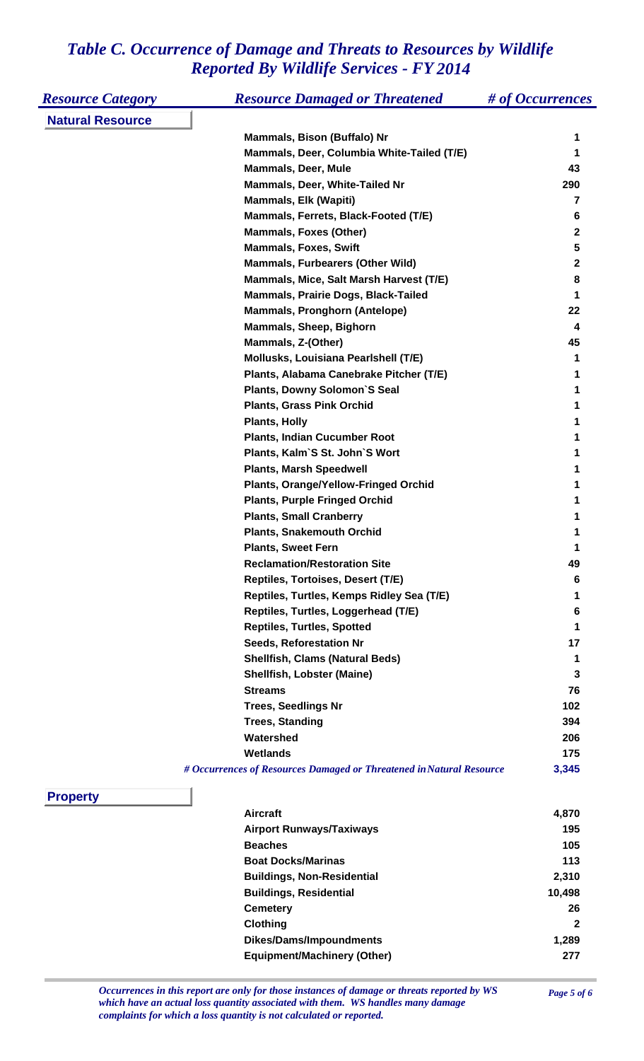| <b>Resource Category</b> | <b>Resource Damaged or Threatened</b>                                | # of Occurrences |
|--------------------------|----------------------------------------------------------------------|------------------|
| <b>Natural Resource</b>  |                                                                      |                  |
|                          | Mammals, Bison (Buffalo) Nr                                          | 1                |
|                          | Mammals, Deer, Columbia White-Tailed (T/E)                           | 1                |
|                          | <b>Mammals, Deer, Mule</b>                                           | 43               |
|                          | Mammals, Deer, White-Tailed Nr                                       | 290              |
|                          | <b>Mammals, Elk (Wapiti)</b>                                         | 7                |
|                          | Mammals, Ferrets, Black-Footed (T/E)                                 | 6                |
|                          | <b>Mammals, Foxes (Other)</b>                                        | $\mathbf{2}$     |
|                          | <b>Mammals, Foxes, Swift</b>                                         | 5                |
|                          | <b>Mammals, Furbearers (Other Wild)</b>                              | $\mathbf{2}$     |
|                          | Mammals, Mice, Salt Marsh Harvest (T/E)                              | 8                |
|                          | Mammals, Prairie Dogs, Black-Tailed                                  | 1                |
|                          | <b>Mammals, Pronghorn (Antelope)</b>                                 | 22               |
|                          | Mammals, Sheep, Bighorn                                              | 4                |
|                          | Mammals, Z-(Other)                                                   | 45               |
|                          | Mollusks, Louisiana Pearlshell (T/E)                                 | 1                |
|                          | Plants, Alabama Canebrake Pitcher (T/E)                              | 1                |
|                          | <b>Plants, Downy Solomon'S Seal</b>                                  | 1                |
|                          | <b>Plants, Grass Pink Orchid</b>                                     |                  |
|                          | <b>Plants, Holly</b>                                                 | 1                |
|                          | <b>Plants, Indian Cucumber Root</b>                                  |                  |
|                          | Plants, Kalm'S St. John'S Wort                                       |                  |
|                          | <b>Plants, Marsh Speedwell</b>                                       |                  |
|                          | <b>Plants, Orange/Yellow-Fringed Orchid</b>                          |                  |
|                          | <b>Plants, Purple Fringed Orchid</b>                                 |                  |
|                          | <b>Plants, Small Cranberry</b>                                       |                  |
|                          | <b>Plants, Snakemouth Orchid</b>                                     |                  |
|                          | <b>Plants. Sweet Fern</b>                                            |                  |
|                          | <b>Reclamation/Restoration Site</b>                                  | 49               |
|                          | Reptiles, Tortoises, Desert (T/E)                                    | 6                |
|                          | Reptiles, Turtles, Kemps Ridley Sea (T/E)                            | 1                |
|                          | Reptiles, Turtles, Loggerhead (T/E)                                  | 6                |
|                          | <b>Reptiles, Turtles, Spotted</b>                                    | 1                |
|                          | <b>Seeds, Reforestation Nr</b>                                       | 17               |
|                          | <b>Shellfish, Clams (Natural Beds)</b>                               | 1                |
|                          | <b>Shellfish, Lobster (Maine)</b>                                    | 3                |
|                          | <b>Streams</b>                                                       | 76               |
|                          | <b>Trees, Seedlings Nr</b>                                           | 102              |
|                          | <b>Trees, Standing</b>                                               | 394              |
|                          | Watershed                                                            | 206              |
|                          | <b>Wetlands</b>                                                      | 175              |
|                          | # Occurrences of Resources Damaged or Threatened in Natural Resource | 3,345            |
| <b>Property</b>          |                                                                      |                  |
|                          | <b>Aircraft</b>                                                      | 4,870            |
|                          | <b>Airport Runways/Taxiways</b>                                      | 195              |
|                          | <b>Beaches</b>                                                       | 105              |
|                          | <b>Boat Docks/Marinas</b>                                            | 113              |
|                          | <b>Buildings, Non-Residential</b>                                    | 2,310            |
|                          | <b>Buildings, Residential</b>                                        | 10,498           |
|                          | <b>Cemetery</b>                                                      | 26               |
|                          | <b>Clothing</b>                                                      | 2                |
|                          | <b>Dikes/Dams/Impoundments</b>                                       | 1,289            |

**Equipment/Machinery (Other) 277**